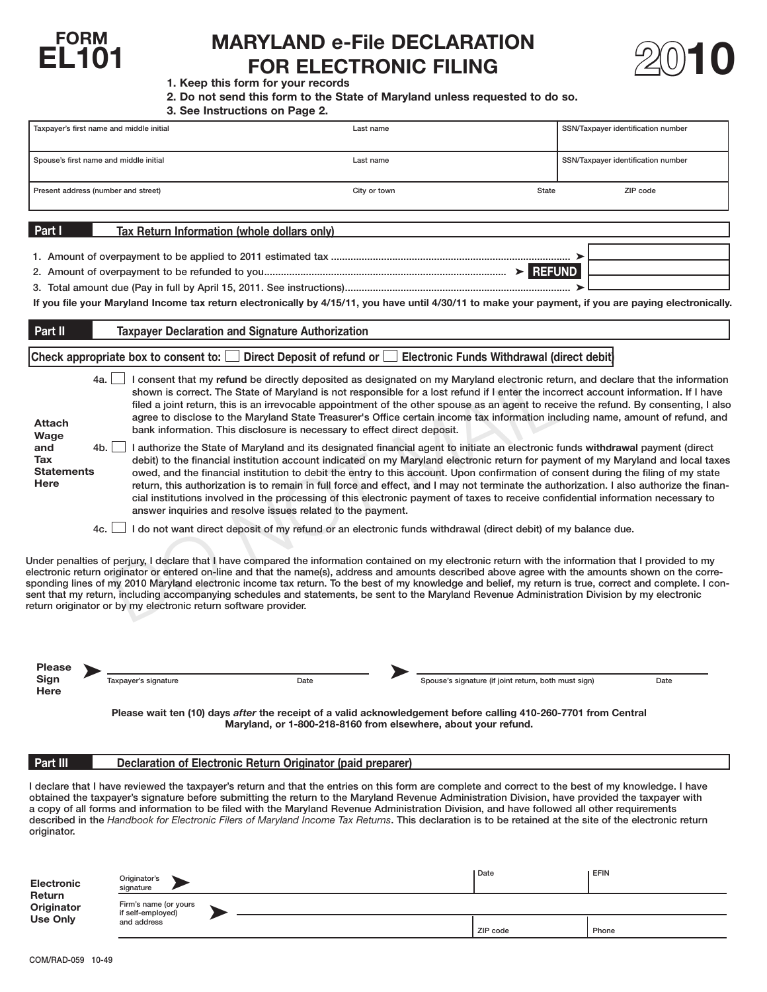

# FORM MARYLAND e-File DECLARATION **EL101** FOR ELECTRONIC FILING



## **1. Keep this form for your records**

**2. Do not send this form to the State of Maryland unless requested to do so.** 

|  |  |  | 3. See Instructions on Page 2. |  |  |  |
|--|--|--|--------------------------------|--|--|--|
|--|--|--|--------------------------------|--|--|--|

|                                                |                                      | 3. See Instructions on Page 2.                                                                                                                                                                                                                                                                 |                                                      |                                                                                                                                                                                                                                                                                                                                                                                                                                                                                                                                                                                                                                                                                             |
|------------------------------------------------|--------------------------------------|------------------------------------------------------------------------------------------------------------------------------------------------------------------------------------------------------------------------------------------------------------------------------------------------|------------------------------------------------------|---------------------------------------------------------------------------------------------------------------------------------------------------------------------------------------------------------------------------------------------------------------------------------------------------------------------------------------------------------------------------------------------------------------------------------------------------------------------------------------------------------------------------------------------------------------------------------------------------------------------------------------------------------------------------------------------|
| Taxpayer's first name and middle initial       |                                      | Last name                                                                                                                                                                                                                                                                                      |                                                      | SSN/Taxpayer identification number                                                                                                                                                                                                                                                                                                                                                                                                                                                                                                                                                                                                                                                          |
| Spouse's first name and middle initial         |                                      | Last name                                                                                                                                                                                                                                                                                      |                                                      | SSN/Taxpayer identification number                                                                                                                                                                                                                                                                                                                                                                                                                                                                                                                                                                                                                                                          |
| Present address (number and street)            |                                      | City or town                                                                                                                                                                                                                                                                                   |                                                      | <b>State</b><br>ZIP code                                                                                                                                                                                                                                                                                                                                                                                                                                                                                                                                                                                                                                                                    |
| Part I                                         |                                      | Tax Return Information (whole dollars only)                                                                                                                                                                                                                                                    |                                                      |                                                                                                                                                                                                                                                                                                                                                                                                                                                                                                                                                                                                                                                                                             |
|                                                |                                      |                                                                                                                                                                                                                                                                                                |                                                      |                                                                                                                                                                                                                                                                                                                                                                                                                                                                                                                                                                                                                                                                                             |
|                                                |                                      |                                                                                                                                                                                                                                                                                                |                                                      |                                                                                                                                                                                                                                                                                                                                                                                                                                                                                                                                                                                                                                                                                             |
|                                                |                                      |                                                                                                                                                                                                                                                                                                |                                                      |                                                                                                                                                                                                                                                                                                                                                                                                                                                                                                                                                                                                                                                                                             |
|                                                |                                      |                                                                                                                                                                                                                                                                                                |                                                      | If you file your Maryland Income tax return electronically by 4/15/11, you have until 4/30/11 to make your payment, if you are paying electronically.                                                                                                                                                                                                                                                                                                                                                                                                                                                                                                                                       |
| Part II                                        |                                      | <b>Taxpayer Declaration and Signature Authorization</b>                                                                                                                                                                                                                                        |                                                      |                                                                                                                                                                                                                                                                                                                                                                                                                                                                                                                                                                                                                                                                                             |
|                                                | Check appropriate box to consent to: | Direct Deposit of refund or                                                                                                                                                                                                                                                                    | <b>Electronic Funds Withdrawal (direct debit)</b>    |                                                                                                                                                                                                                                                                                                                                                                                                                                                                                                                                                                                                                                                                                             |
| 4a.<br><b>Attach</b><br>Wage                   |                                      | bank information. This disclosure is necessary to effect direct deposit.                                                                                                                                                                                                                       |                                                      | I consent that my refund be directly deposited as designated on my Maryland electronic return, and declare that the information<br>shown is correct. The State of Maryland is not responsible for a lost refund if I enter the incorrect account information. If I have<br>filed a joint return, this is an irrevocable appointment of the other spouse as an agent to receive the refund. By consenting, I also<br>agree to disclose to the Maryland State Treasurer's Office certain income tax information including name, amount of refund, and                                                                                                                                         |
| 4b.<br>and<br>Tax<br><b>Statements</b><br>Here |                                      | answer inquiries and resolve issues related to the payment.                                                                                                                                                                                                                                    |                                                      | I authorize the State of Maryland and its designated financial agent to initiate an electronic funds withdrawal payment (direct<br>debit) to the financial institution account indicated on my Maryland electronic return for payment of my Maryland and local taxes<br>owed, and the financial institution to debit the entry to this account. Upon confirmation of consent during the filing of my state<br>return, this authorization is to remain in full force and effect, and I may not terminate the authorization. I also authorize the finan-<br>cial institutions involved in the processing of this electronic payment of taxes to receive confidential information necessary to |
| 4c.                                            |                                      | I do not want direct deposit of my refund or an electronic funds withdrawal (direct debit) of my balance due.                                                                                                                                                                                  |                                                      |                                                                                                                                                                                                                                                                                                                                                                                                                                                                                                                                                                                                                                                                                             |
|                                                |                                      | sent that my return, including accompanying schedules and statements, be sent to the Maryland Revenue Administration Division by my electronic<br>return originator or by my electronic return software provider.                                                                              |                                                      | Under penalties of perjury, I declare that I have compared the information contained on my electronic return with the information that I provided to my<br>electronic return originator or entered on-line and that the name(s), address and amounts described above agree with the amounts shown on the corre-<br>sponding lines of my 2010 Maryland electronic income tax return. To the best of my knowledge and belief, my return is true, correct and complete. I con-                                                                                                                                                                                                                 |
| Please \<br>Sign                               | Taxpayer's signature                 | Date                                                                                                                                                                                                                                                                                           | Spouse's signature (if joint return, both must sign) | Date                                                                                                                                                                                                                                                                                                                                                                                                                                                                                                                                                                                                                                                                                        |
| Here                                           |                                      |                                                                                                                                                                                                                                                                                                |                                                      |                                                                                                                                                                                                                                                                                                                                                                                                                                                                                                                                                                                                                                                                                             |
|                                                |                                      | Please wait ten (10) days after the receipt of a valid acknowledgement before calling 410-260-7701 from Central<br>Maryland, or 1-800-218-8160 from elsewhere, about your refund.                                                                                                              |                                                      |                                                                                                                                                                                                                                                                                                                                                                                                                                                                                                                                                                                                                                                                                             |
| Part III                                       |                                      | Declaration of Electronic Return Originator (paid preparer)                                                                                                                                                                                                                                    |                                                      |                                                                                                                                                                                                                                                                                                                                                                                                                                                                                                                                                                                                                                                                                             |
| originator.                                    |                                      | obtained the taxpayer's signature before submitting the return to the Maryland Revenue Administration Division, have provided the taxpayer with<br>a copy of all forms and information to be filed with the Maryland Revenue Administration Division, and have followed all other requirements |                                                      | I declare that I have reviewed the taxpayer's return and that the entries on this form are complete and correct to the best of my knowledge. I have<br>described in the Handbook for Electronic Filers of Maryland Income Tax Returns. This declaration is to be retained at the site of the electronic return                                                                                                                                                                                                                                                                                                                                                                              |
| <b>Electronic</b>                              | Originator's<br>signature            |                                                                                                                                                                                                                                                                                                | Date                                                 | EFIN                                                                                                                                                                                                                                                                                                                                                                                                                                                                                                                                                                                                                                                                                        |

| <b>Return</b><br>Originator | Firm's name (or yours<br>if self-employed)<br>and address |  |          |       |  |
|-----------------------------|-----------------------------------------------------------|--|----------|-------|--|
| <b>Use Only</b>             |                                                           |  | ZIP code | Phone |  |